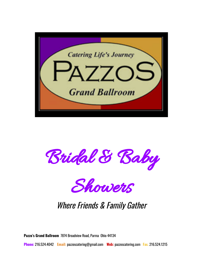

Bridal & Baby



Where Friends & Family Gather

**Pazzo's Grand Ballroom** 7874 Broadview Road, Parma Ohio 44134

**Phone:** 216.524.4042 **Email:** [pazzoscatering@gmail.com](mailto:pazzoscatering@gmail.com) **Web:** pazzoscatering.com **Fax.** 216.524.1215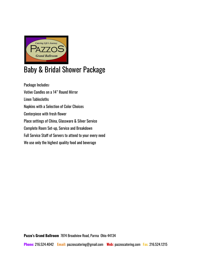

# Baby & Bridal Shower Package

Package Includes: Votive Candles on a 14" Round Mirror Linen Tablecloths Napkins with a Selection of Color Choices Centerpiece with fresh flower Place settings of China, Glassware & Silver Service Complete Room Set-up, Service and Breakdown Full Service Staff of Servers to attend to your every need We use only the highest quality food and beverage

**Pazzo's Grand Ballroom** 7874 Broadview Road, Parma Ohio 44134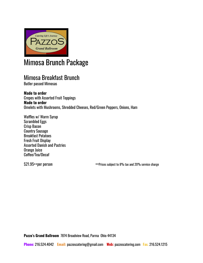

# Mimosa Brunch Package

### Mimosa Breakfast Brunch

Butler passed Mimosas

**Made to order** Crepes with Assorted Fruit Toppings **Made to order** Omelets with Mushrooms, Shredded Cheeses, Red/Green Peppers, Onions, Ham

Waffles w/ Warm Syrup Scrambled Eggs Crisp Bacon Country Sausage Breakfast Potatoes Fresh Fruit Display Assorted Danish and Pastries Orange Juice Coffee/Tea/Decaf

\$21.95++per person example and the term of the term of the term of the term of the subject to 8% tax and 20% service charge

**Pazzo's Grand Ballroom** 7874 Broadview Road, Parma Ohio 44134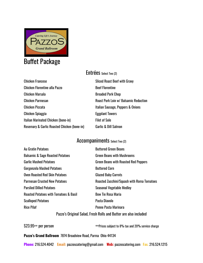

### Buffet Package

### Entrées Select Two (2)

| <b>Chicken Francese</b>                     | <b>Sliced Roast Beef with Gravy</b> |
|---------------------------------------------|-------------------------------------|
| <b>Chicken Florentine alla Pazzo</b>        | <b>Beef Florentine</b>              |
| Chicken Marsala                             | <b>Breaded Pork Chop</b>            |
| <b>Chicken Parmesan</b>                     | Roast Pork Loin w/ Balsamic         |
| <b>Chicken Piccata</b>                      | Italian Sausage, Peppers & Or       |
| <b>Chicken Spiaggia</b>                     | <b>Eggplant Towers</b>              |
| Italian Marinated Chicken (bone-in)         | <b>Filet of Sole</b>                |
| Rosemary & Garlic Roasted Chicken (bone-in) | Garlic & Dill Salmon                |

**Beef Florentine Breaded Pork Chop** Roast Pork Loin w/ Balsamic Reduction Italian Sausage, Peppers & Onions **Eggplant Towers Filet of Sole** Garlic & Dill Salmon

### Accompaniments select Two (2)

| Au Gratin Potatoes                          | <b>Buttered Green Beans</b>                       |
|---------------------------------------------|---------------------------------------------------|
| <b>Balsamic &amp; Sage Roasted Potatoes</b> | <b>Green Beans with Mushrooms</b>                 |
| <b>Garlic Mashed Potatoes</b>               | <b>Green Beans with Roasted Red Peppers</b>       |
| Gorgonzola Mashed Potatoes                  | <b>Buttered Corn</b>                              |
| <b>Oven Roasted Red Skin Potatoes</b>       | <b>Glazed Baby Carrots</b>                        |
| Parmesan Crusted New Potatoes               | <b>Roasted Zucchini/Squash with Roma Tomatoes</b> |
| <b>Parslied Dilled Potatoes</b>             | <b>Seasonal Vegetable Medley</b>                  |
| Roasted Potatoes with Tomatoes & Basil      | <b>Bow Tie Rosa Maria</b>                         |
| Scalloped Potatoes                          | Pasta Diavolo                                     |
| <b>Rice Pilaf</b>                           | Penne Pasta Marinara                              |
|                                             |                                                   |

#### Pazzo's Original Salad, Fresh Rolls and Butter are also included

\$23.95<sup>++</sup> per person **EXECUTE:** ++Prices subject to 8% tax and 20% service charge

#### **Pazzo's Grand Ballroom** 7874 Broadview Road, Parma Ohio 44134

**Phone:** 216.524.4042 **Email:** [pazzoscatering@gmail.com](mailto:pazzoscatering@gmail.com) **Web:** pazzoscatering.com **Fax.** 216.524.1215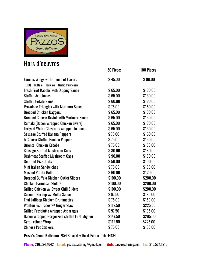

## Hors d'oeuvres

|                                                   | 50 Pieces | <b>100 Pieces</b> |
|---------------------------------------------------|-----------|-------------------|
| <b>Famous Wings with Choice of Flavors</b>        | \$45.00   | \$90.00           |
| BBQ Buffalo Teriyaki Garlic Parmesan              |           |                   |
| <b>Fresh Fruit Kabobs with Dipping Sauce</b>      | \$65.00   | \$130.00          |
| <b>Stuffed Artichokes</b>                         | \$65.00   | \$130.00          |
| <b>Stuffed Potato Skins</b>                       | \$60.00   | \$120.00          |
| <b>Provolone Triangles with Marinara Sauce</b>    | \$75.00   | \$150.00          |
| <b>Breaded Chicken Daggers</b>                    | \$65.00   | \$130.00          |
| <b>Breaded Cheese Ravioli with Marinara Sauce</b> | \$65.00   | \$130.00          |
| Rumaki (Bacon Wrapped Chicken Livers)             | \$65.00   | \$130.00          |
| Teriyaki Water Chestnuts wrapped in bacon         | \$65.00   | \$130.00          |
| <b>Sausage Stuffed Banana Peppers</b>             | \$75.00   | \$150.00          |
| <b>5 Cheese Stuffed Banana Peppers</b>            | \$75.00   | \$150.00          |
| <b>Oriental Chicken Kabobs</b>                    | \$75.00   | \$150.00          |
| <b>Sausage Stuffed Mushroom Caps</b>              | \$80.00   | \$160.00          |
| <b>Crabmeat Stuffed Mushroom Caps</b>             | \$90.00   | \$180.00          |
| <b>Gourmet Pizza Cuts</b>                         | \$50.00   | \$100.00          |
| <b>Mini Italian Sandwiches</b>                    | \$75.00   | \$150.00          |
| <b>Mashed Potato Balls</b>                        | \$60.00   | \$120.00          |
| <b>Breaded Buffalo Chicken Cutlet Sliders</b>     | \$100.00  | \$200.00          |
| <b>Chicken Parmesan Sliders</b>                   | \$100.00  | \$200.00          |
| <b>Grilled Chicken w/ Sweet Chili Sliders</b>     | \$100.00  | \$200.00          |
| Coconut Shrimp w/ Melba Sauce                     | \$97.50   | \$195.00          |
| <b>Thai Lollipop Chicken Drummettes</b>           | \$75.00   | \$150.00          |
| Wonton Fish Tacos w/ Ginger Slaw                  | \$112.50  | \$225.00          |
| <b>Grilled Prosciutto wrapped Asparagus</b>       | \$97.50   | \$195.00          |
| Bacon Wrapped Gorgonzola stuffed Filet Mignon     | \$147.50  | \$295.00          |
| <b>Gyro Lettuce Wrap</b>                          | \$112.50  | \$225.00          |
| <b>Chinese Pot Stickers</b>                       | \$75.00   | \$150.00          |

**Pazzo's Grand Ballroom** 7874 Broadview Road, Parma Ohio 44134

**Phone:** 216.524.4042 **Email:** [pazzoscatering@gmail.com](mailto:pazzoscatering@gmail.com) **Web:** pazzoscatering.com **Fax.** 216.524.1215